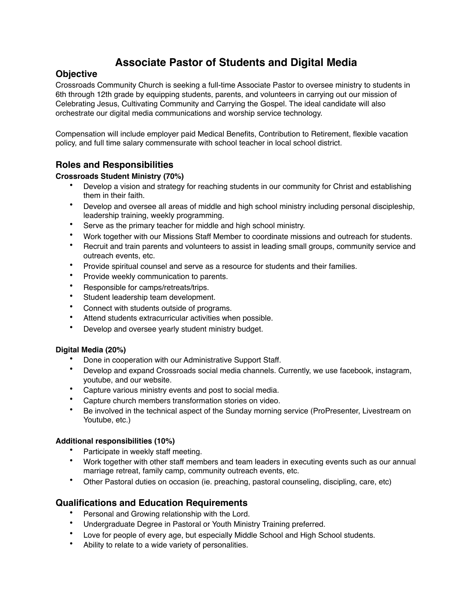# **Associate Pastor of Students and Digital Media**

## **Objective**

Crossroads Community Church is seeking a full-time Associate Pastor to oversee ministry to students in 6th through 12th grade by equipping students, parents, and volunteers in carrying out our mission of Celebrating Jesus, Cultivating Community and Carrying the Gospel. The ideal candidate will also orchestrate our digital media communications and worship service technology.

Compensation will include employer paid Medical Benefits, Contribution to Retirement, flexible vacation policy, and full time salary commensurate with school teacher in local school district.

## **Roles and Responsibilities**

### **Crossroads Student Ministry (70%)**

- Develop a vision and strategy for reaching students in our community for Christ and establishing them in their faith.
- Develop and oversee all areas of middle and high school ministry including personal discipleship, leadership training, weekly programming.
- Serve as the primary teacher for middle and high school ministry.
- Work together with our Missions Staff Member to coordinate missions and outreach for students.
- Recruit and train parents and volunteers to assist in leading small groups, community service and outreach events, etc.
- Provide spiritual counsel and serve as a resource for students and their families.
- Provide weekly communication to parents.
- Responsible for camps/retreats/trips.
- Student leadership team development.
- Connect with students outside of programs.
- Attend students extracurricular activities when possible.
- Develop and oversee yearly student ministry budget.

### **Digital Media (20%)**

- Done in cooperation with our Administrative Support Staff.
- Develop and expand Crossroads social media channels. Currently, we use facebook, instagram, youtube, and our website.
- Capture various ministry events and post to social media.
- Capture church members transformation stories on video.
- Be involved in the technical aspect of the Sunday morning service (ProPresenter, Livestream on Youtube, etc.)

#### **Additional responsibilities (10%)**

- Participate in weekly staff meeting.
- Work together with other staff members and team leaders in executing events such as our annual marriage retreat, family camp, community outreach events, etc.
- Other Pastoral duties on occasion (ie. preaching, pastoral counseling, discipling, care, etc)

## **Qualifications and Education Requirements**

- Personal and Growing relationship with the Lord.
- Undergraduate Degree in Pastoral or Youth Ministry Training preferred.
- Love for people of every age, but especially Middle School and High School students.
- Ability to relate to a wide variety of personalities.